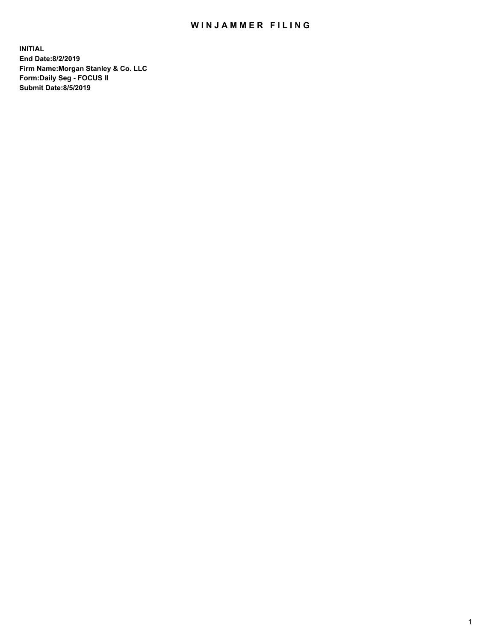## WIN JAMMER FILING

**INITIAL End Date:8/2/2019 Firm Name:Morgan Stanley & Co. LLC Form:Daily Seg - FOCUS II Submit Date:8/5/2019**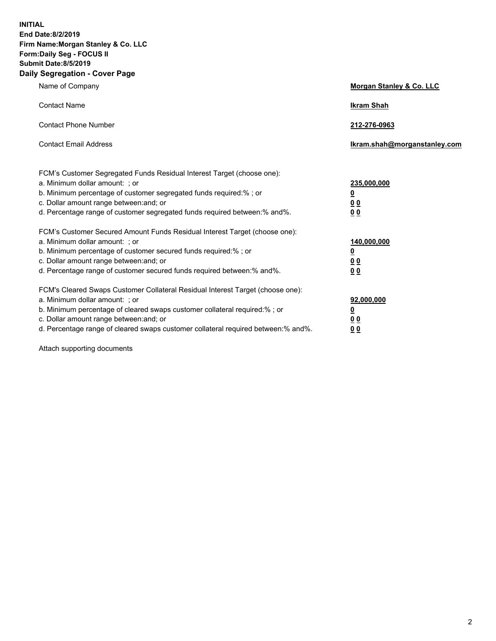**INITIAL End Date:8/2/2019 Firm Name:Morgan Stanley & Co. LLC Form:Daily Seg - FOCUS II Submit Date:8/5/2019 Daily Segregation - Cover Page**

| Name of Company                                                                                                                                                                                                                                                                                                                | Morgan Stanley & Co. LLC                                    |
|--------------------------------------------------------------------------------------------------------------------------------------------------------------------------------------------------------------------------------------------------------------------------------------------------------------------------------|-------------------------------------------------------------|
| <b>Contact Name</b>                                                                                                                                                                                                                                                                                                            | <b>Ikram Shah</b>                                           |
| <b>Contact Phone Number</b>                                                                                                                                                                                                                                                                                                    | 212-276-0963                                                |
| <b>Contact Email Address</b>                                                                                                                                                                                                                                                                                                   | Ikram.shah@morganstanley.com                                |
| FCM's Customer Segregated Funds Residual Interest Target (choose one):<br>a. Minimum dollar amount: ; or<br>b. Minimum percentage of customer segregated funds required:% ; or<br>c. Dollar amount range between: and; or<br>d. Percentage range of customer segregated funds required between:% and%.                         | 235,000,000<br><u>0</u><br>0 <sub>0</sub><br>00             |
| FCM's Customer Secured Amount Funds Residual Interest Target (choose one):<br>a. Minimum dollar amount: ; or<br>b. Minimum percentage of customer secured funds required:% ; or<br>c. Dollar amount range between: and; or<br>d. Percentage range of customer secured funds required between:% and%.                           | 140,000,000<br><u>0</u><br>0 <sub>0</sub><br>0 <sub>0</sub> |
| FCM's Cleared Swaps Customer Collateral Residual Interest Target (choose one):<br>a. Minimum dollar amount: ; or<br>b. Minimum percentage of cleared swaps customer collateral required:% ; or<br>c. Dollar amount range between: and; or<br>d. Percentage range of cleared swaps customer collateral required between:% and%. | 92,000,000<br><u>0</u><br>0 Q<br>0 <sub>0</sub>             |

Attach supporting documents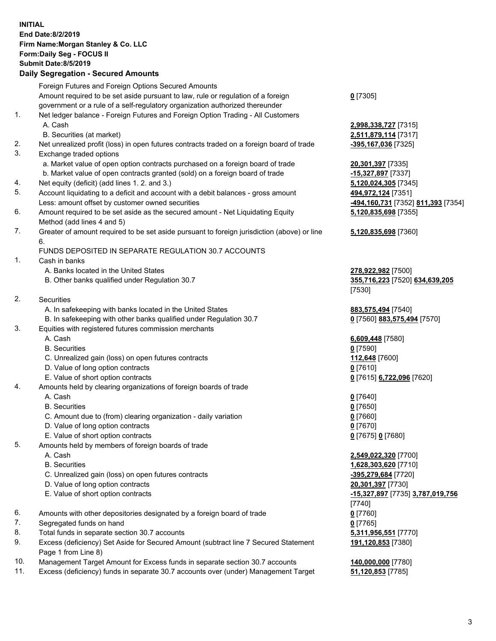## **INITIAL End Date:8/2/2019 Firm Name:Morgan Stanley & Co. LLC Form:Daily Seg - FOCUS II Submit Date:8/5/2019 Daily Segregation - Secured Amounts** Foreign Futures and Foreign Options Secured Amounts Amount required to be set aside pursuant to law, rule or regulation of a foreign government or a rule of a self-regulatory organization authorized thereunder **0** [7305] 1. Net ledger balance - Foreign Futures and Foreign Option Trading - All Customers A. Cash **2,998,338,727** [7315] B. Securities (at market) **2,511,879,114** [7317] 2. Net unrealized profit (loss) in open futures contracts traded on a foreign board of trade **-395,167,036** [7325] 3. Exchange traded options a. Market value of open option contracts purchased on a foreign board of trade **20,301,397** [7335] b. Market value of open contracts granted (sold) on a foreign board of trade **-15,327,897** [7337] 4. Net equity (deficit) (add lines 1. 2. and 3.) **5,120,024,305** [7345] 5. Account liquidating to a deficit and account with a debit balances - gross amount **494,972,124** [7351] Less: amount offset by customer owned securities **-494,160,731** [7352] **811,393** [7354] 6. Amount required to be set aside as the secured amount - Net Liquidating Equity Method (add lines 4 and 5) 7. Greater of amount required to be set aside pursuant to foreign jurisdiction (above) or line 6. FUNDS DEPOSITED IN SEPARATE REGULATION 30.7 ACCOUNTS 1. Cash in banks A. Banks located in the United States **278,922,982** [7500] B. Other banks qualified under Regulation 30.7 **355,716,223** [7520] **634,639,205** 2. Securities A. In safekeeping with banks located in the United States **883,575,494** [7540] B. In safekeeping with other banks qualified under Regulation 30.7 **0** [7560] **883,575,494** [7570] 3. Equities with registered futures commission merchants A. Cash **6,609,448** [7580] B. Securities **0** [7590] C. Unrealized gain (loss) on open futures contracts **112,648** [7600] D. Value of long option contracts **0** [7610] E. Value of short option contracts **0** [7615] **6,722,096** [7620] 4. Amounts held by clearing organizations of foreign boards of trade A. Cash **0** [7640] B. Securities **0** [7650] C. Amount due to (from) clearing organization - daily variation **0** [7660] D. Value of long option contracts **0** [7670] E. Value of short option contracts **0** [7675] **0** [7680] 5. Amounts held by members of foreign boards of trade A. Cash **2,549,022,320** [7700] B. Securities **1,628,303,620** [7710] C. Unrealized gain (loss) on open futures contracts **-395,279,684** [7720] D. Value of long option contracts **20,301,397** [7730] E. Value of short option contracts **-15,327,897** [7735] **3,787,019,756** 6. Amounts with other depositories designated by a foreign board of trade **0** [7760] 7. Segregated funds on hand **0** [7765] 8. Total funds in separate section 30.7 accounts **5,311,956,551** [7770]

9. Excess (deficiency) Set Aside for Secured Amount (subtract line 7 Secured Statement Page 1 from Line 8)

- 10. Management Target Amount for Excess funds in separate section 30.7 accounts **140,000,000** [7780]
- 11. Excess (deficiency) funds in separate 30.7 accounts over (under) Management Target **51,120,853** [7785]

**5,120,835,698** [7355] **5,120,835,698** [7360]

[7530]

[7740] **191,120,853** [7380]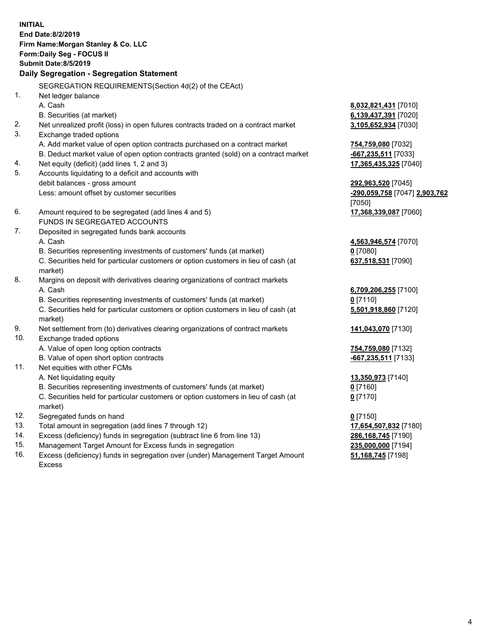**INITIAL End Date:8/2/2019 Firm Name:Morgan Stanley & Co. LLC Form:Daily Seg - FOCUS II Submit Date:8/5/2019 Daily Segregation - Segregation Statement** SEGREGATION REQUIREMENTS(Section 4d(2) of the CEAct) 1. Net ledger balance A. Cash **8,032,821,431** [7010] B. Securities (at market) **6,139,437,391** [7020] 2. Net unrealized profit (loss) in open futures contracts traded on a contract market **3,105,652,934** [7030] 3. Exchange traded options A. Add market value of open option contracts purchased on a contract market **754,759,080** [7032] B. Deduct market value of open option contracts granted (sold) on a contract market **-667,235,511** [7033] 4. Net equity (deficit) (add lines 1, 2 and 3) **17,365,435,325** [7040] 5. Accounts liquidating to a deficit and accounts with debit balances - gross amount **292,963,520** [7045] Less: amount offset by customer securities **-290,059,758** [7047] **2,903,762** [7050] 6. Amount required to be segregated (add lines 4 and 5) **17,368,339,087** [7060] FUNDS IN SEGREGATED ACCOUNTS 7. Deposited in segregated funds bank accounts A. Cash **4,563,946,574** [7070] B. Securities representing investments of customers' funds (at market) **0** [7080] C. Securities held for particular customers or option customers in lieu of cash (at market) **637,518,531** [7090] 8. Margins on deposit with derivatives clearing organizations of contract markets A. Cash **6,709,206,255** [7100] B. Securities representing investments of customers' funds (at market) **0** [7110] C. Securities held for particular customers or option customers in lieu of cash (at market) **5,501,918,860** [7120] 9. Net settlement from (to) derivatives clearing organizations of contract markets **141,043,070** [7130] 10. Exchange traded options A. Value of open long option contracts **754,759,080** [7132] B. Value of open short option contracts **-667,235,511** [7133] 11. Net equities with other FCMs A. Net liquidating equity **13,350,973** [7140] B. Securities representing investments of customers' funds (at market) **0** [7160] C. Securities held for particular customers or option customers in lieu of cash (at market) **0** [7170] 12. Segregated funds on hand **0** [7150] 13. Total amount in segregation (add lines 7 through 12) **17,654,507,832** [7180] 14. Excess (deficiency) funds in segregation (subtract line 6 from line 13) **286,168,745** [7190]

- 15. Management Target Amount for Excess funds in segregation **235,000,000** [7194]
- 16. Excess (deficiency) funds in segregation over (under) Management Target Amount Excess

**51,168,745** [7198]